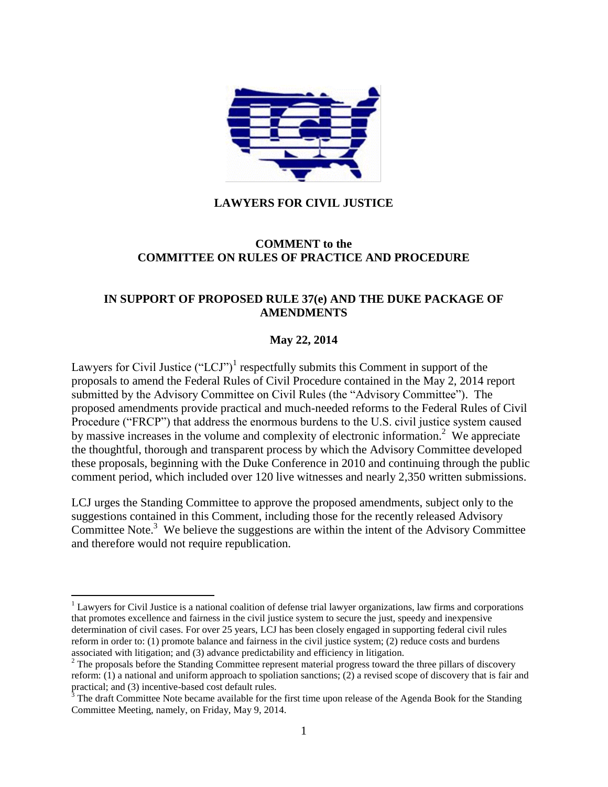

### **LAWYERS FOR CIVIL JUSTICE**

#### **COMMENT to the COMMITTEE ON RULES OF PRACTICE AND PROCEDURE**

### **IN SUPPORT OF PROPOSED RULE 37(e) AND THE DUKE PACKAGE OF AMENDMENTS**

#### **May 22, 2014**

Lawyers for Civil Justice  $("LCJ")^1$  respectfully submits this Comment in support of the proposals to amend the Federal Rules of Civil Procedure contained in the May 2, 2014 report submitted by the Advisory Committee on Civil Rules (the "Advisory Committee"). The proposed amendments provide practical and much-needed reforms to the Federal Rules of Civil Procedure ("FRCP") that address the enormous burdens to the U.S. civil justice system caused by massive increases in the volume and complexity of electronic information.<sup>2</sup> We appreciate the thoughtful, thorough and transparent process by which the Advisory Committee developed these proposals, beginning with the Duke Conference in 2010 and continuing through the public comment period, which included over 120 live witnesses and nearly 2,350 written submissions.

LCJ urges the Standing Committee to approve the proposed amendments, subject only to the suggestions contained in this Comment, including those for the recently released Advisory Committee Note. $3$  We believe the suggestions are within the intent of the Advisory Committee and therefore would not require republication.

 $1$  Lawyers for Civil Justice is a national coalition of defense trial lawyer organizations, law firms and corporations that promotes excellence and fairness in the civil justice system to secure the just, speedy and inexpensive determination of civil cases. For over 25 years, LCJ has been closely engaged in supporting federal civil rules reform in order to: (1) promote balance and fairness in the civil justice system; (2) reduce costs and burdens associated with litigation; and (3) advance predictability and efficiency in litigation.

<sup>&</sup>lt;sup>2</sup> The proposals before the Standing Committee represent material progress toward the three pillars of discovery reform: (1) a national and uniform approach to spoliation sanctions; (2) a revised scope of discovery that is fair and practical; and (3) incentive-based cost default rules.

 $3$  The draft Committee Note became available for the first time upon release of the Agenda Book for the Standing Committee Meeting, namely, on Friday, May 9, 2014.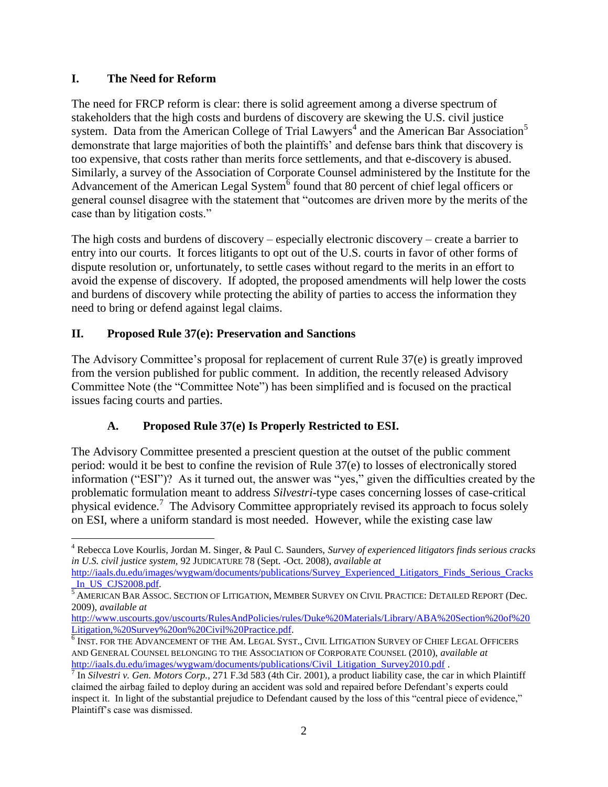### **I. The Need for Reform**

The need for FRCP reform is clear: there is solid agreement among a diverse spectrum of stakeholders that the high costs and burdens of discovery are skewing the U.S. civil justice system. Data from the American College of Trial Lawyers<sup>4</sup> and the American Bar Association<sup>5</sup> demonstrate that large majorities of both the plaintiffs' and defense bars think that discovery is too expensive, that costs rather than merits force settlements, and that e-discovery is abused. Similarly, a survey of the Association of Corporate Counsel administered by the Institute for the Advancement of the American Legal System $\overline{6}$  found that 80 percent of chief legal officers or general counsel disagree with the statement that "outcomes are driven more by the merits of the case than by litigation costs."

The high costs and burdens of discovery – especially electronic discovery – create a barrier to entry into our courts. It forces litigants to opt out of the U.S. courts in favor of other forms of dispute resolution or, unfortunately, to settle cases without regard to the merits in an effort to avoid the expense of discovery. If adopted, the proposed amendments will help lower the costs and burdens of discovery while protecting the ability of parties to access the information they need to bring or defend against legal claims.

# **II. Proposed Rule 37(e): Preservation and Sanctions**

The Advisory Committee's proposal for replacement of current Rule 37(e) is greatly improved from the version published for public comment. In addition, the recently released Advisory Committee Note (the "Committee Note") has been simplified and is focused on the practical issues facing courts and parties.

# **A. Proposed Rule 37(e) Is Properly Restricted to ESI.**

The Advisory Committee presented a prescient question at the outset of the public comment period: would it be best to confine the revision of Rule 37(e) to losses of electronically stored information ("ESI")? As it turned out, the answer was "yes," given the difficulties created by the problematic formulation meant to address *Silvestri*-type cases concerning losses of case-critical physical evidence.<sup>7</sup> The Advisory Committee appropriately revised its approach to focus solely on ESI, where a uniform standard is most needed. However, while the existing case law

 $\overline{a}$ <sup>4</sup> Rebecca Love Kourlis, Jordan M. Singer, & Paul C. Saunders, *Survey of experienced litigators finds serious cracks in U.S. civil justice system,* 92 JUDICATURE 78 (Sept. -Oct. 2008), *available at* 

[http://iaals.du.edu/images/wygwam/documents/publications/Survey\\_Experienced\\_Litigators\\_Finds\\_Serious\\_Cracks](http://iaals.du.edu/images/wygwam/documents/publications/Survey_Experienced_Litigators_Finds_Serious_Cracks_In_US_CJS2008.pdf) In US\_CJS2008.pdf.

<sup>&</sup>lt;sup>5</sup> AMERICAN BAR ASSOC. SECTION OF LITIGATION, MEMBER SURVEY ON CIVIL PRACTICE: DETAILED REPORT (Dec. 2009), *available at* 

[http://www.uscourts.gov/uscourts/RulesAndPolicies/rules/Duke%20Materials/Library/ABA%20Section%20of%20](http://www.uscourts.gov/uscourts/RulesAndPolicies/rules/Duke%20Materials/Library/ABA%20Section%20of%20Litigation,%20Survey%20on%20Civil%20Practice.pdf) [Litigation,%20Survey%20on%20Civil%20Practice.pdf.](http://www.uscourts.gov/uscourts/RulesAndPolicies/rules/Duke%20Materials/Library/ABA%20Section%20of%20Litigation,%20Survey%20on%20Civil%20Practice.pdf)

<sup>6</sup> INST. FOR THE ADVANCEMENT OF THE AM. LEGAL SYST., CIVIL LITIGATION SURVEY OF CHIEF LEGAL OFFICERS AND GENERAL COUNSEL BELONGING TO THE ASSOCIATION OF CORPORATE COUNSEL (2010), *available at*  [http://iaals.du.edu/images/wygwam/documents/publications/Civil\\_Litigation\\_Survey2010.pdf](http://iaals.du.edu/images/wygwam/documents/publications/Civil_Litigation_Survey2010.pdf) .

<sup>7</sup> In *Silvestri v. Gen. Motors Corp.,* 271 F.3d 583 (4th Cir. 2001), a product liability case, the car in which Plaintiff claimed the airbag failed to deploy during an accident was sold and repaired before Defendant's experts could inspect it. In light of the substantial prejudice to Defendant caused by the loss of this "central piece of evidence," Plaintiff's case was dismissed.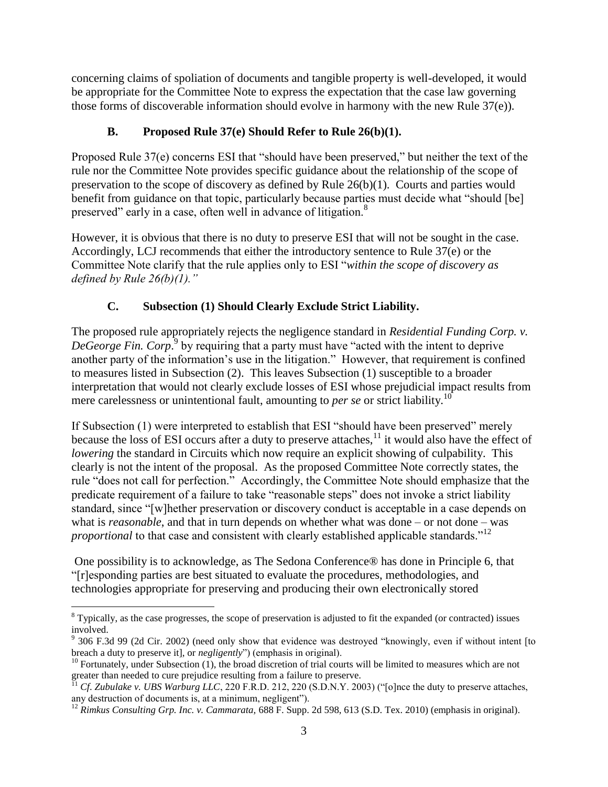concerning claims of spoliation of documents and tangible property is well-developed, it would be appropriate for the Committee Note to express the expectation that the case law governing those forms of discoverable information should evolve in harmony with the new Rule 37(e)).

# **B. Proposed Rule 37(e) Should Refer to Rule 26(b)(1).**

Proposed Rule 37(e) concerns ESI that "should have been preserved," but neither the text of the rule nor the Committee Note provides specific guidance about the relationship of the scope of preservation to the scope of discovery as defined by Rule 26(b)(1). Courts and parties would benefit from guidance on that topic, particularly because parties must decide what "should [be] preserved" early in a case, often well in advance of litigation.<sup>8</sup>

However, it is obvious that there is no duty to preserve ESI that will not be sought in the case. Accordingly, LCJ recommends that either the introductory sentence to Rule 37(e) or the Committee Note clarify that the rule applies only to ESI "*within the scope of discovery as defined by Rule 26(b)(1)."*

# **C. Subsection (1) Should Clearly Exclude Strict Liability.**

The proposed rule appropriately rejects the negligence standard in *Residential Funding Corp. v.*  DeGeorge Fin. Corp.<sup>9</sup> by requiring that a party must have "acted with the intent to deprive another party of the information's use in the litigation." However, that requirement is confined to measures listed in Subsection (2). This leaves Subsection (1) susceptible to a broader interpretation that would not clearly exclude losses of ESI whose prejudicial impact results from mere carelessness or unintentional fault, amounting to *per se* or strict liability.<sup>10</sup>

If Subsection (1) were interpreted to establish that ESI "should have been preserved" merely because the loss of ESI occurs after a duty to preserve attaches,  $\frac{1}{1}$  it would also have the effect of *lowering* the standard in Circuits which now require an explicit showing of culpability. This clearly is not the intent of the proposal. As the proposed Committee Note correctly states, the rule "does not call for perfection." Accordingly, the Committee Note should emphasize that the predicate requirement of a failure to take "reasonable steps" does not invoke a strict liability standard, since "[w]hether preservation or discovery conduct is acceptable in a case depends on what is *reasonable*, and that in turn depends on whether what was done – or not done – was *proportional* to that case and consistent with clearly established applicable standards."<sup>12</sup>

One possibility is to acknowledge, as The Sedona Conference® has done in Principle 6, that "[r]esponding parties are best situated to evaluate the procedures, methodologies, and technologies appropriate for preserving and producing their own electronically stored

<sup>&</sup>lt;sup>8</sup> Typically, as the case progresses, the scope of preservation is adjusted to fit the expanded (or contracted) issues involved.

 $9$  306 F.3d 99 (2d Cir. 2002) (need only show that evidence was destroyed "knowingly, even if without intent [to breach a duty to preserve it], or *negligently*") (emphasis in original).

 $10$  Fortunately, under Subsection (1), the broad discretion of trial courts will be limited to measures which are not greater than needed to cure prejudice resulting from a failure to preserve.

<sup>11</sup> *Cf*. *Zubulake v. UBS Warburg LLC*, 220 F.R.D. 212, 220 (S.D.N.Y. 2003) ("[o]nce the duty to preserve attaches, any destruction of documents is, at a minimum, negligent").

<sup>&</sup>lt;sup>12</sup> Rimkus Consulting Grp. Inc. v. Cammarata, 688 F. Supp. 2d 598, 613 (S.D. Tex. 2010) (emphasis in original).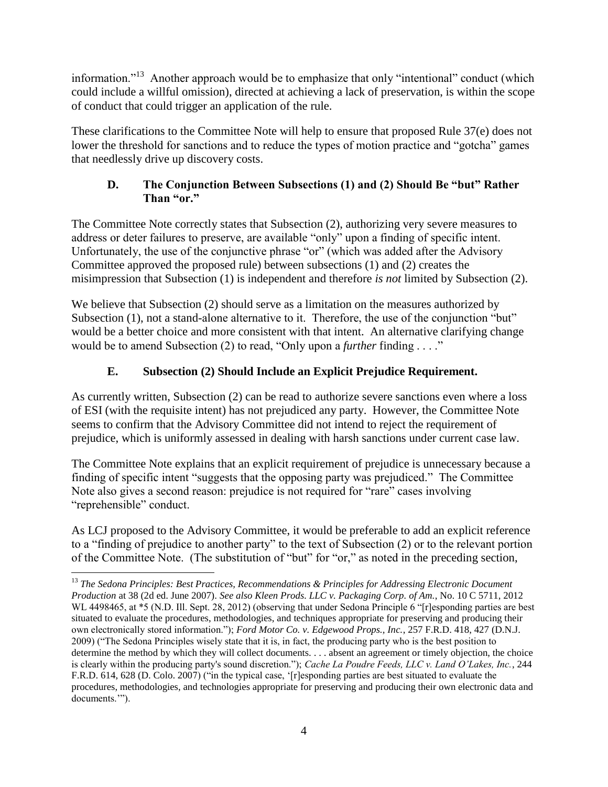information."<sup>13</sup> Another approach would be to emphasize that only "intentional" conduct (which could include a willful omission), directed at achieving a lack of preservation, is within the scope of conduct that could trigger an application of the rule.

These clarifications to the Committee Note will help to ensure that proposed Rule 37(e) does not lower the threshold for sanctions and to reduce the types of motion practice and "gotcha" games that needlessly drive up discovery costs.

### **D. The Conjunction Between Subsections (1) and (2) Should Be "but" Rather Than "or."**

The Committee Note correctly states that Subsection (2), authorizing very severe measures to address or deter failures to preserve, are available "only" upon a finding of specific intent. Unfortunately, the use of the conjunctive phrase "or" (which was added after the Advisory Committee approved the proposed rule) between subsections (1) and (2) creates the misimpression that Subsection (1) is independent and therefore *is not* limited by Subsection (2).

We believe that Subsection (2) should serve as a limitation on the measures authorized by Subsection (1), not a stand-alone alternative to it. Therefore, the use of the conjunction "but" would be a better choice and more consistent with that intent. An alternative clarifying change would be to amend Subsection (2) to read, "Only upon a *further* finding . . . ."

# **E. Subsection (2) Should Include an Explicit Prejudice Requirement.**

As currently written, Subsection (2) can be read to authorize severe sanctions even where a loss of ESI (with the requisite intent) has not prejudiced any party. However, the Committee Note seems to confirm that the Advisory Committee did not intend to reject the requirement of prejudice, which is uniformly assessed in dealing with harsh sanctions under current case law.

The Committee Note explains that an explicit requirement of prejudice is unnecessary because a finding of specific intent "suggests that the opposing party was prejudiced." The Committee Note also gives a second reason: prejudice is not required for "rare" cases involving "reprehensible" conduct.

As LCJ proposed to the Advisory Committee, it would be preferable to add an explicit reference to a "finding of prejudice to another party" to the text of Subsection (2) or to the relevant portion of the Committee Note. (The substitution of "but" for "or," as noted in the preceding section,

<sup>13</sup> *The Sedona Principles: Best Practices, Recommendations & Principles for Addressing Electronic Document Production* at 38 (2d ed. June 2007). *See also Kleen Prods. LLC v. Packaging Corp. of Am.*, No. 10 C 5711, 2012 WL 4498465, at \*5 (N.D. Ill. Sept. 28, 2012) (observing that under Sedona Principle 6 "[r]esponding parties are best situated to evaluate the procedures, methodologies, and techniques appropriate for preserving and producing their own electronically stored information."); *Ford Motor Co. v. Edgewood Props., Inc.*, 257 F.R.D. 418, 427 (D.N.J. 2009) ("The Sedona Principles wisely state that it is, in fact, the producing party who is the best position to determine the method by which they will collect documents. . . . absent an agreement or timely objection, the choice is clearly within the producing party's sound discretion."); *Cache La Poudre Feeds, LLC v. Land O'Lakes, Inc.*, 244 F.R.D. 614, 628 (D. Colo. 2007) ("in the typical case, '[r]esponding parties are best situated to evaluate the procedures, methodologies, and technologies appropriate for preserving and producing their own electronic data and documents.'").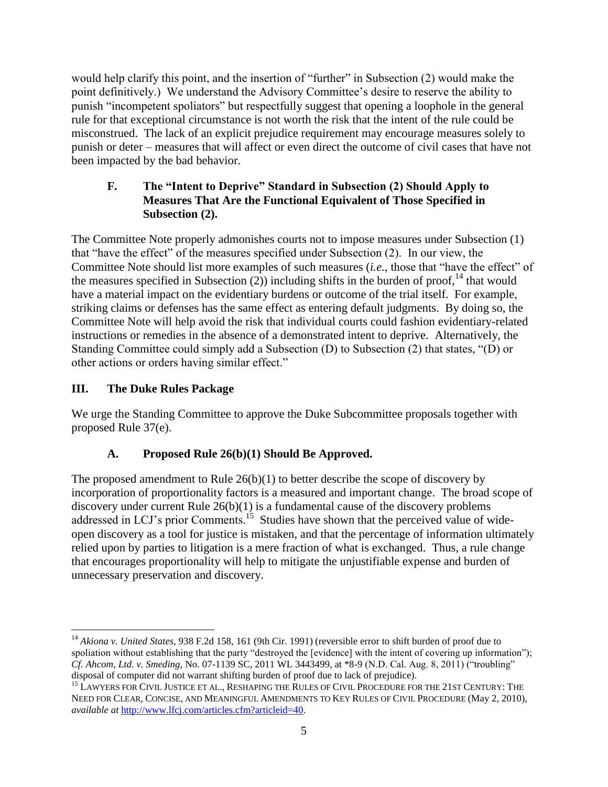would help clarify this point, and the insertion of "further" in Subsection (2) would make the point definitively.) We understand the Advisory Committee's desire to reserve the ability to punish "incompetent spoliators" but respectfully suggest that opening a loophole in the general rule for that exceptional circumstance is not worth the risk that the intent of the rule could be misconstrued. The lack of an explicit prejudice requirement may encourage measures solely to punish or deter – measures that will affect or even direct the outcome of civil cases that have not been impacted by the bad behavior.

### **F. The "Intent to Deprive" Standard in Subsection (2) Should Apply to Measures That Are the Functional Equivalent of Those Specified in Subsection (2).**

The Committee Note properly admonishes courts not to impose measures under Subsection (1) that "have the effect" of the measures specified under Subsection (2). In our view, the Committee Note should list more examples of such measures (*i.e.*, those that "have the effect" of the measures specified in Subsection  $(2)$ ) including shifts in the burden of proof,<sup>14</sup> that would have a material impact on the evidentiary burdens or outcome of the trial itself. For example, striking claims or defenses has the same effect as entering default judgments. By doing so, the Committee Note will help avoid the risk that individual courts could fashion evidentiary-related instructions or remedies in the absence of a demonstrated intent to deprive. Alternatively, the Standing Committee could simply add a Subsection (D) to Subsection (2) that states, "(D) or other actions or orders having similar effect."

# **III. The Duke Rules Package**

We urge the Standing Committee to approve the Duke Subcommittee proposals together with proposed Rule 37(e).

# **A. Proposed Rule 26(b)(1) Should Be Approved.**

The proposed amendment to Rule  $26(b)(1)$  to better describe the scope of discovery by incorporation of proportionality factors is a measured and important change. The broad scope of discovery under current Rule  $26(b)(1)$  is a fundamental cause of the discovery problems addressed in LCJ's prior Comments.<sup>15</sup> Studies have shown that the perceived value of wideopen discovery as a tool for justice is mistaken, and that the percentage of information ultimately relied upon by parties to litigation is a mere fraction of what is exchanged. Thus, a rule change that encourages proportionality will help to mitigate the unjustifiable expense and burden of unnecessary preservation and discovery.

 $\overline{a}$ <sup>14</sup> Akiona v. United States, 938 F.2d 158, 161 (9th Cir. 1991) (reversible error to shift burden of proof due to spoliation without establishing that the party "destroyed the [evidence] with the intent of covering up information"); *Cf. Ahcom, Ltd. v. Smeding,* No. 07-1139 SC, 2011 WL 3443499, at \*8-9 (N.D. Cal. Aug. 8, 2011) ("troubling" disposal of computer did not warrant shifting burden of proof due to lack of prejudice).

<sup>&</sup>lt;sup>15</sup> LAWYERS FOR CIVIL JUSTICE ET AL., RESHAPING THE RULES OF CIVIL PROCEDURE FOR THE 21ST CENTURY: THE NEED FOR CLEAR, CONCISE, AND MEANINGFUL AMENDMENTS TO KEY RULES OF CIVIL PROCEDURE (May 2, 2010), *available at* [http://www.lfcj.com/articles.cfm?articleid=40.](http://www.lfcj.com/articles.cfm?articleid=40)